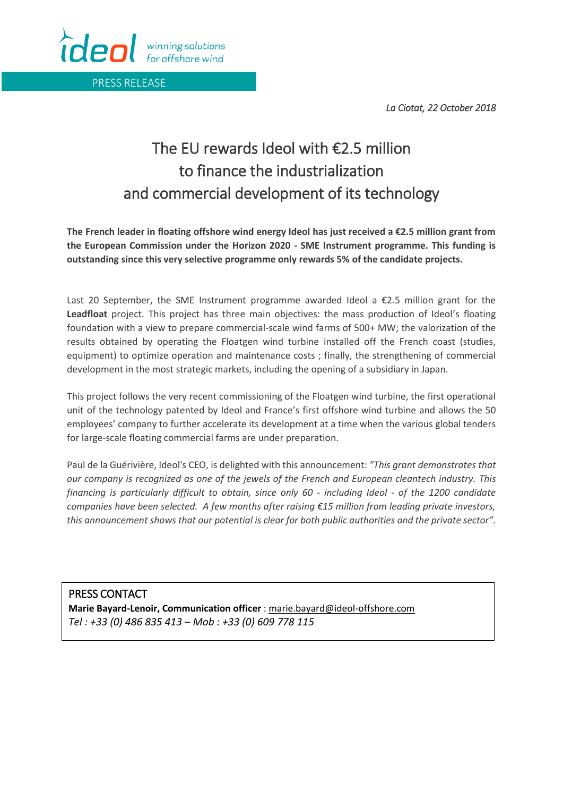*La Ciotat, 22 October 2018* 

## îdeol winning solutions for offshore wind

PRESS RELEASE

## The EU rewards Ideol with €2.5 million to finance the industrialization and commercial development of its technology

**The French leader in floating offshore wind energy Ideol has just received a €2.5 million grant from the European Commission under the Horizon 2020 - SME Instrument programme. This funding is outstanding since this very selective programme only rewards 5% of the candidate projects.** 

Last 20 September, the SME Instrument programme awarded Ideol a €2.5 million grant for the **Leadfloat** project. This project has three main objectives: the mass production of Ideol's floating foundation with a view to prepare commercial-scale wind farms of 500+ MW; the valorization of the results obtained by operating the Floatgen wind turbine installed off the French coast (studies, equipment) to optimize operation and maintenance costs ; finally, the strengthening of commercial development in the most strategic markets, including the opening of a subsidiary in Japan.

This project follows the very recent commissioning of the Floatgen wind turbine, the first operational unit of the technology patented by Ideol and France's first offshore wind turbine and allows the 50 employees' company to further accelerate its development at a time when the various global tenders for large-scale floating commercial farms are under preparation.

Paul de la Guérivière, Ideol's CEO, is delighted with this announcement: *"This grant demonstrates that our company is recognized as one of the jewels of the French and European cleantech industry. This financing is particularly difficult to obtain, since only 60 - including Ideol - of the 1200 candidate companies have been selected. A few months after raising €15 million from leading private investors, this announcement shows that our potential is clear for both public authorities and the private sector".*

PRESS CONTACT **Marie Bayard-Lenoir, Communication officer** : [marie.bayard@ideol-offshore.com](mailto:marie.bayard@ideol-offshore.com) *Tel : +33 (0) 486 835 413 – Mob : +33 (0) 609 778 115*